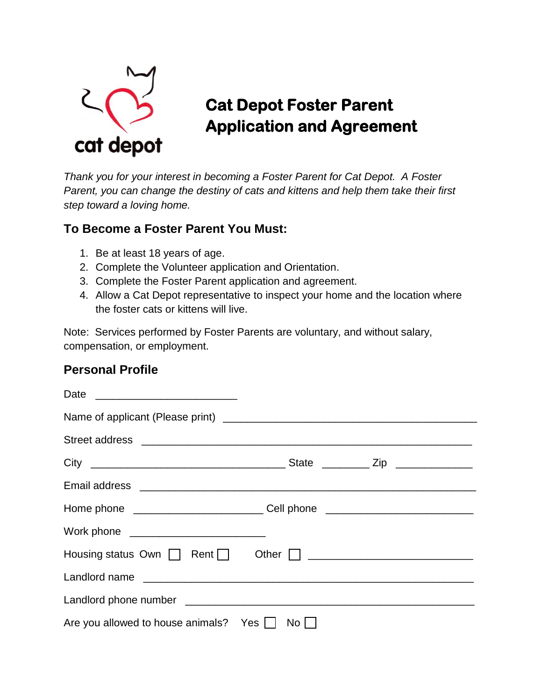

# **Cat Depot Foster Parent Application and Agreement**

*Thank you for your interest in becoming a Foster Parent for Cat Depot. A Foster Parent, you can change the destiny of cats and kittens and help them take their first step toward a loving home.*

### **To Become a Foster Parent You Must:**

- 1. Be at least 18 years of age.
- 2. Complete the Volunteer application and Orientation.
- 3. Complete the Foster Parent application and agreement.
- 4. Allow a Cat Depot representative to inspect your home and the location where the foster cats or kittens will live.

Note: Services performed by Foster Parents are voluntary, and without salary, compensation, or employment.

### **Personal Profile**

| Home phone _________________________________Cell phone _________________________ |      |
|----------------------------------------------------------------------------------|------|
| Work phone ___________________________                                           |      |
|                                                                                  |      |
|                                                                                  |      |
|                                                                                  |      |
| Are you allowed to house animals? Yes                                            | $No$ |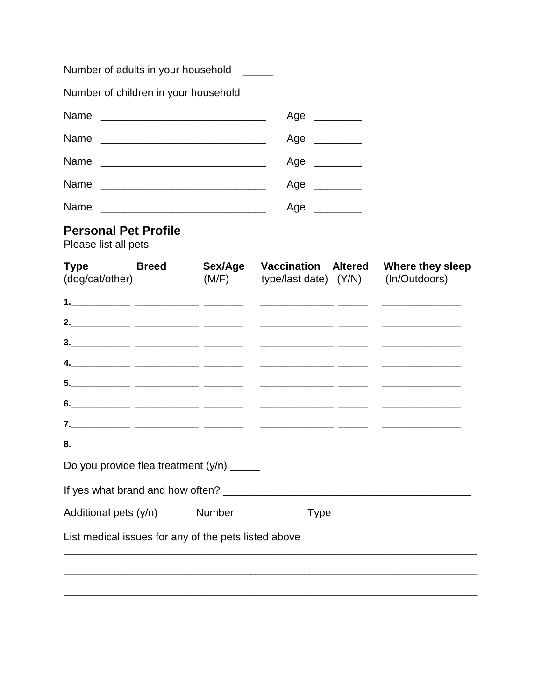| Number of adults in your household _____             |              |                  |                                                       |                                                                                  |
|------------------------------------------------------|--------------|------------------|-------------------------------------------------------|----------------------------------------------------------------------------------|
| Number of children in your household _____           |              |                  |                                                       |                                                                                  |
|                                                      |              |                  | Age $\qquad$                                          |                                                                                  |
|                                                      |              |                  | Age _______                                           |                                                                                  |
|                                                      |              |                  | Age _______                                           |                                                                                  |
|                                                      |              |                  | Age _______                                           |                                                                                  |
| Name                                                 |              |                  | Age $\qquad$                                          |                                                                                  |
| <b>Personal Pet Profile</b><br>Please list all pets  |              |                  |                                                       |                                                                                  |
| <b>Type</b><br>(dog/cat/other)                       | <b>Breed</b> | Sex/Age<br>(M/F) | <b>Vaccination Altered</b><br>type/last date) $(Y/N)$ | Where they sleep<br>(In/Outdoors)                                                |
|                                                      |              |                  |                                                       |                                                                                  |
| 2. ____________ ______________ ________              |              |                  |                                                       |                                                                                  |
|                                                      |              |                  |                                                       |                                                                                  |
| 4. ____________ _____________ ________               |              |                  |                                                       |                                                                                  |
| <u>5. ____________ _____________ ________</u>        |              |                  |                                                       |                                                                                  |
| 6. _____________ _____________ ________              |              |                  |                                                       |                                                                                  |
|                                                      |              |                  |                                                       |                                                                                  |
| Do you provide flea treatment (y/n) _____            |              |                  |                                                       |                                                                                  |
|                                                      |              |                  |                                                       |                                                                                  |
|                                                      |              |                  |                                                       | Additional pets (y/n) ______ Number ____________ Type __________________________ |
| List medical issues for any of the pets listed above |              |                  |                                                       |                                                                                  |
|                                                      |              |                  |                                                       |                                                                                  |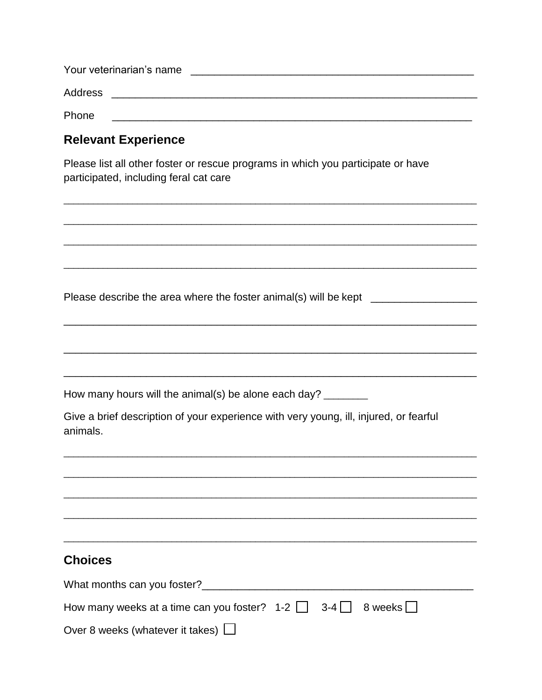| Your veterinarian's name |  |
|--------------------------|--|
| Address                  |  |
| Phone                    |  |

## **Relevant Experience**

Please list all other foster or rescue programs in which you participate or have participated, including feral cat care

| Please describe the area where the foster animal(s) will be kept _______________                                                                              |
|---------------------------------------------------------------------------------------------------------------------------------------------------------------|
|                                                                                                                                                               |
|                                                                                                                                                               |
|                                                                                                                                                               |
| How many hours will the animal(s) be alone each day? ________                                                                                                 |
| Give a brief description of your experience with very young, ill, injured, or fearful<br>animals.                                                             |
| <u> 1989 - Johann Barn, mars ar yw i gwrthiodd ar y ganrif y ganrif y ganrif y ganrif y ganrif y ganrif y ganrif y</u>                                        |
|                                                                                                                                                               |
|                                                                                                                                                               |
|                                                                                                                                                               |
| <b>Choices</b>                                                                                                                                                |
|                                                                                                                                                               |
| How many weeks at a time can you foster? $\begin{array}{ccc} 1-2 & \end{array}$ 3-4 $\begin{array}{ccc} \end{array}$ 8 weeks $\begin{array}{ccc} \end{array}$ |
| Over 8 weeks (whatever it takes) $\Box$                                                                                                                       |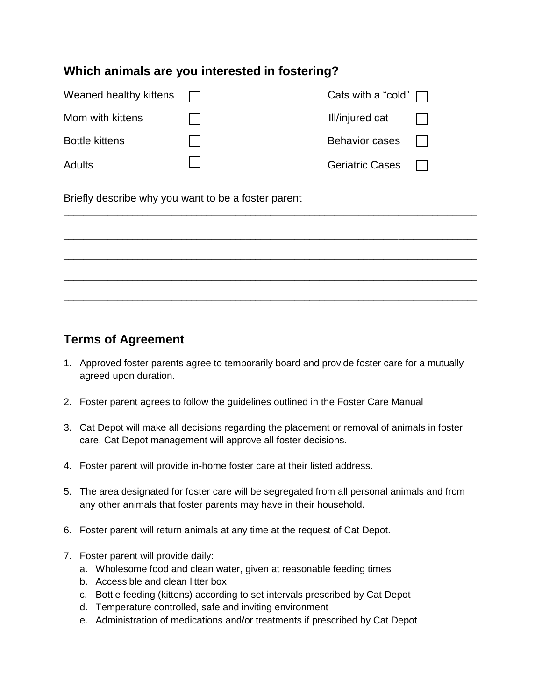#### **Which animals are you interested in fostering?**

| Weaned healthy kittens | Cats with a "cold" $\Box$ |  |
|------------------------|---------------------------|--|
| Mom with kittens       | Ill/injured cat           |  |
| <b>Bottle kittens</b>  | <b>Behavior cases</b>     |  |
| Adults                 | <b>Geriatric Cases</b>    |  |

Briefly describe why you want to be a foster parent



### **Terms of Agreement**

- 1. Approved foster parents agree to temporarily board and provide foster care for a mutually agreed upon duration.
- 2. Foster parent agrees to follow the guidelines outlined in the Foster Care Manual
- 3. Cat Depot will make all decisions regarding the placement or removal of animals in foster care. Cat Depot management will approve all foster decisions.
- 4. Foster parent will provide in-home foster care at their listed address.
- 5. The area designated for foster care will be segregated from all personal animals and from any other animals that foster parents may have in their household.
- 6. Foster parent will return animals at any time at the request of Cat Depot.
- 7. Foster parent will provide daily:
	- a. Wholesome food and clean water, given at reasonable feeding times
	- b. Accessible and clean litter box
	- c. Bottle feeding (kittens) according to set intervals prescribed by Cat Depot
	- d. Temperature controlled, safe and inviting environment
	- e. Administration of medications and/or treatments if prescribed by Cat Depot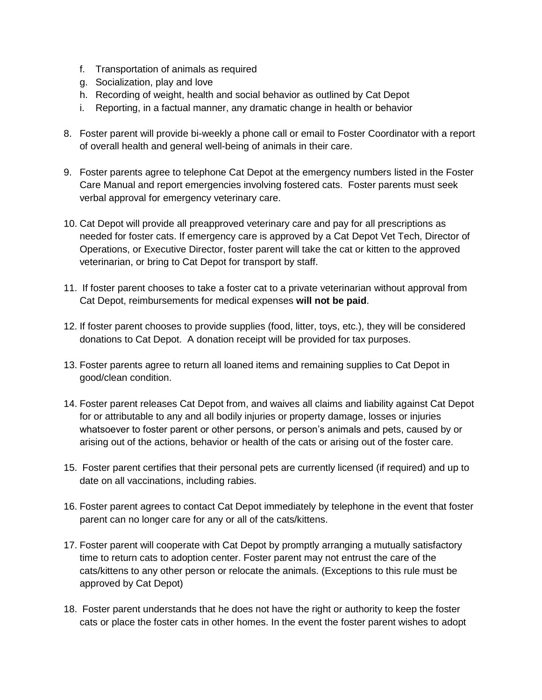- f. Transportation of animals as required
- g. Socialization, play and love
- h. Recording of weight, health and social behavior as outlined by Cat Depot
- i. Reporting, in a factual manner, any dramatic change in health or behavior
- 8. Foster parent will provide bi-weekly a phone call or email to Foster Coordinator with a report of overall health and general well-being of animals in their care.
- 9. Foster parents agree to telephone Cat Depot at the emergency numbers listed in the Foster Care Manual and report emergencies involving fostered cats. Foster parents must seek verbal approval for emergency veterinary care.
- 10. Cat Depot will provide all preapproved veterinary care and pay for all prescriptions as needed for foster cats. If emergency care is approved by a Cat Depot Vet Tech, Director of Operations, or Executive Director, foster parent will take the cat or kitten to the approved veterinarian, or bring to Cat Depot for transport by staff.
- 11. If foster parent chooses to take a foster cat to a private veterinarian without approval from Cat Depot, reimbursements for medical expenses **will not be paid**.
- 12. If foster parent chooses to provide supplies (food, litter, toys, etc.), they will be considered donations to Cat Depot. A donation receipt will be provided for tax purposes.
- 13. Foster parents agree to return all loaned items and remaining supplies to Cat Depot in good/clean condition.
- 14. Foster parent releases Cat Depot from, and waives all claims and liability against Cat Depot for or attributable to any and all bodily injuries or property damage, losses or injuries whatsoever to foster parent or other persons, or person's animals and pets, caused by or arising out of the actions, behavior or health of the cats or arising out of the foster care.
- 15. Foster parent certifies that their personal pets are currently licensed (if required) and up to date on all vaccinations, including rabies.
- 16. Foster parent agrees to contact Cat Depot immediately by telephone in the event that foster parent can no longer care for any or all of the cats/kittens.
- 17. Foster parent will cooperate with Cat Depot by promptly arranging a mutually satisfactory time to return cats to adoption center. Foster parent may not entrust the care of the cats/kittens to any other person or relocate the animals. (Exceptions to this rule must be approved by Cat Depot)
- 18. Foster parent understands that he does not have the right or authority to keep the foster cats or place the foster cats in other homes. In the event the foster parent wishes to adopt